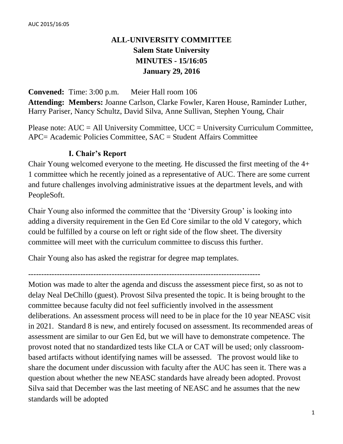# **ALL-UNIVERSITY COMMITTEE Salem State University MINUTES - 15/16:05 January 29, 2016**

**Convened:** Time: 3:00 p.m. Meier Hall room 106 **Attending: Members:** Joanne Carlson, Clarke Fowler, Karen House, Raminder Luther, Harry Pariser, Nancy Schultz, David Silva, Anne Sullivan, Stephen Young, Chair

Please note:  $AUC = All University Committee$ ,  $UCC = University Curricular Computer$ , APC= Academic Policies Committee, SAC = Student Affairs Committee

## **I. Chair's Report**

Chair Young welcomed everyone to the meeting. He discussed the first meeting of the 4+ 1 committee which he recently joined as a representative of AUC. There are some current and future challenges involving administrative issues at the department levels, and with PeopleSoft.

Chair Young also informed the committee that the 'Diversity Group' is looking into adding a diversity requirement in the Gen Ed Core similar to the old V category, which could be fulfilled by a course on left or right side of the flow sheet. The diversity committee will meet with the curriculum committee to discuss this further.

Chair Young also has asked the registrar for degree map templates.

-----------------------------------------------------------------------------------------

Motion was made to alter the agenda and discuss the assessment piece first, so as not to delay Neal DeChillo (guest). Provost Silva presented the topic. It is being brought to the committee because faculty did not feel sufficiently involved in the assessment deliberations. An assessment process will need to be in place for the 10 year NEASC visit in 2021. Standard 8 is new, and entirely focused on assessment. Its recommended areas of assessment are similar to our Gen Ed, but we will have to demonstrate competence. The provost noted that no standardized tests like CLA or CAT will be used; only classroombased artifacts without identifying names will be assessed. The provost would like to share the document under discussion with faculty after the AUC has seen it. There was a question about whether the new NEASC standards have already been adopted. Provost Silva said that December was the last meeting of NEASC and he assumes that the new standards will be adopted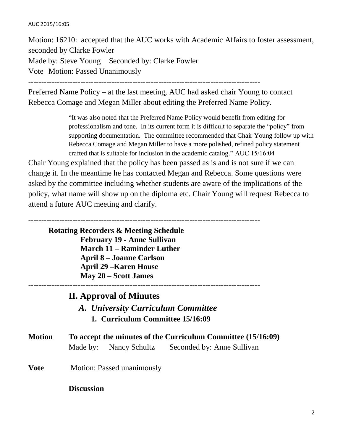#### AUC 2015/16:05

Motion: 16210: accepted that the AUC works with Academic Affairs to foster assessment, seconded by Clarke Fowler Made by: Steve Young Seconded by: Clarke Fowler Vote Motion: Passed Unanimously

-----------------------------------------------------------------------------------------

Preferred Name Policy – at the last meeting, AUC had asked chair Young to contact Rebecca Comage and Megan Miller about editing the Preferred Name Policy.

> "It was also noted that the Preferred Name Policy would benefit from editing for professionalism and tone. In its current form it is difficult to separate the "policy" from supporting documentation. The committee recommended that Chair Young follow up with Rebecca Comage and Megan Miller to have a more polished, refined policy statement crafted that is suitable for inclusion in the academic catalog." AUC 15/16:04

> > -----------------------------------------------------------------------------------------

Chair Young explained that the policy has been passed as is and is not sure if we can change it. In the meantime he has contacted Megan and Rebecca. Some questions were asked by the committee including whether students are aware of the implications of the policy, what name will show up on the diploma etc. Chair Young will request Rebecca to attend a future AUC meeting and clarify.

-----------------------------------------------------------------------------------------

**Rotating Recorders & Meeting Schedule February 19 - Anne Sullivan March 11 – Raminder Luther April 8 – Joanne Carlson April 29 –Karen House May 20 – Scott James**

### **II. Approval of Minutes**

*A. University Curriculum Committee*

**1. Curriculum Committee 15/16:09**

| Motion | To accept the minutes of the Curriculum Committee (15/16:09) |                        |                            |  |
|--------|--------------------------------------------------------------|------------------------|----------------------------|--|
|        |                                                              | Made by: Nancy Schultz | Seconded by: Anne Sullivan |  |

**Vote** Motion: Passed unanimously

**Discussion**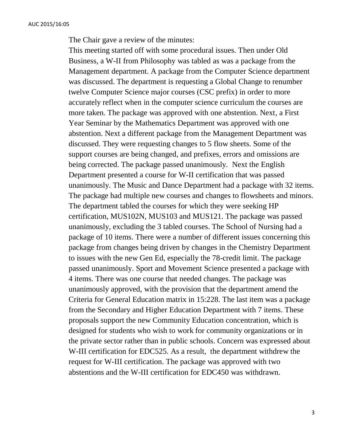The Chair gave a review of the minutes:

This meeting started off with some procedural issues. Then under Old Business, a W-II from Philosophy was tabled as was a package from the Management department. A package from the Computer Science department was discussed. The department is requesting a Global Change to renumber twelve Computer Science major courses (CSC prefix) in order to more accurately reflect when in the computer science curriculum the courses are more taken. The package was approved with one abstention. Next, a First Year Seminar by the Mathematics Department was approved with one abstention. Next a different package from the Management Department was discussed. They were requesting changes to 5 flow sheets. Some of the support courses are being changed, and prefixes, errors and omissions are being corrected. The package passed unanimously. Next the English Department presented a course for W-II certification that was passed unanimously. The Music and Dance Department had a package with 32 items. The package had multiple new courses and changes to flowsheets and minors. The department tabled the courses for which they were seeking HP certification, MUS102N, MUS103 and MUS121. The package was passed unanimously, excluding the 3 tabled courses. The School of Nursing had a package of 10 items. There were a number of different issues concerning this package from changes being driven by changes in the Chemistry Department to issues with the new Gen Ed, especially the 78-credit limit. The package passed unanimously. Sport and Movement Science presented a package with 4 items. There was one course that needed changes. The package was unanimously approved, with the provision that the department amend the Criteria for General Education matrix in 15:228. The last item was a package from the Secondary and Higher Education Department with 7 items. These proposals support the new Community Education concentration, which is designed for students who wish to work for community organizations or in the private sector rather than in public schools. Concern was expressed about W-III certification for EDC525. As a result, the department withdrew the request for W-III certification. The package was approved with two abstentions and the W-III certification for EDC450 was withdrawn.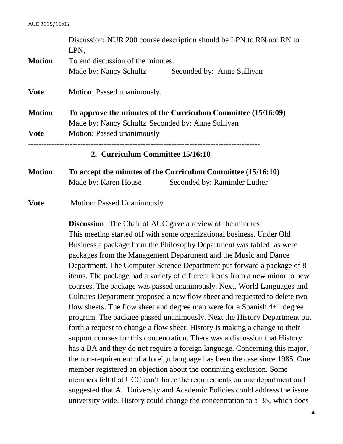|               | LPN,                                                                                         | Discussion: NUR 200 course description should be LPN to RN not RN to |  |  |  |
|---------------|----------------------------------------------------------------------------------------------|----------------------------------------------------------------------|--|--|--|
| <b>Motion</b> | To end discussion of the minutes.                                                            |                                                                      |  |  |  |
|               | Made by: Nancy Schultz                                                                       | Seconded by: Anne Sullivan                                           |  |  |  |
| <b>Vote</b>   | Motion: Passed unanimously.<br>To approve the minutes of the Curriculum Committee (15/16:09) |                                                                      |  |  |  |
| <b>Motion</b> |                                                                                              |                                                                      |  |  |  |
|               | Made by: Nancy Schultz Seconded by: Anne Sullivan                                            |                                                                      |  |  |  |
| <b>Vote</b>   | Motion: Passed unanimously                                                                   |                                                                      |  |  |  |
|               | 2. Curriculum Committee 15/16:10                                                             |                                                                      |  |  |  |
| <b>Motion</b> | To accept the minutes of the Curriculum Committee (15/16:10)                                 |                                                                      |  |  |  |
|               | Made by: Karen House                                                                         | Seconded by: Raminder Luther                                         |  |  |  |

**Vote** Motion: Passed Unanimously

**Discussion** The Chair of AUC gave a review of the minutes: This meeting started off with some organizational business. Under Old Business a package from the Philosophy Department was tabled, as were packages from the Management Department and the Music and Dance Department. The Computer Science Department put forward a package of 8 items. The package had a variety of different items from a new minor to new courses. The package was passed unanimously. Next, World Languages and Cultures Department proposed a new flow sheet and requested to delete two flow sheets. The flow sheet and degree map were for a Spanish 4+1 degree program. The package passed unanimously. Next the History Department put forth a request to change a flow sheet. History is making a change to their support courses for this concentration. There was a discussion that History has a BA and they do not require a foreign language. Concerning this major, the non-requirement of a foreign language has been the case since 1985. One member registered an objection about the continuing exclusion. Some members felt that UCC can't force the requirements on one department and suggested that All University and Academic Policies could address the issue university wide. History could change the concentration to a BS, which does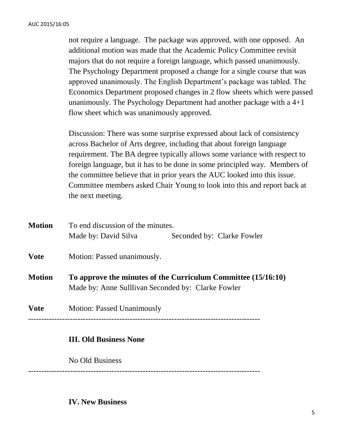not require a language. The package was approved, with one opposed. An additional motion was made that the Academic Policy Committee revisit majors that do not require a foreign language, which passed unanimously. The Psychology Department proposed a change for a single course that was approved unanimously. The English Department's package was tabled. The Economics Department proposed changes in 2 flow sheets which were passed unanimously. The Psychology Department had another package with a 4+1 flow sheet which was unanimously approved.

Discussion: There was some surprise expressed about lack of consistency across Bachelor of Arts degree, including that about foreign language requirement. The BA degree typically allows some variance with respect to foreign language, but it has to be done in some principled way. Members of the committee believe that in prior years the AUC looked into this issue. Committee members asked Chair Young to look into this and report back at the next meeting.

| <b>Motion</b> | To end discussion of the minutes.                                                                                   |                            |  |  |  |
|---------------|---------------------------------------------------------------------------------------------------------------------|----------------------------|--|--|--|
|               | Made by: David Silva                                                                                                | Seconded by: Clarke Fowler |  |  |  |
| <b>Vote</b>   | Motion: Passed unanimously.                                                                                         |                            |  |  |  |
| <b>Motion</b> | To approve the minutes of the Curriculum Committee (15/16:10)<br>Made by: Anne Sulllivan Seconded by: Clarke Fowler |                            |  |  |  |
| <b>Vote</b>   | <b>Motion: Passed Unanimously</b>                                                                                   |                            |  |  |  |
|               |                                                                                                                     |                            |  |  |  |

### **III. Old Business None**

No Old Business

-----------------------------------------------------------------------------------------

**IV. New Business**